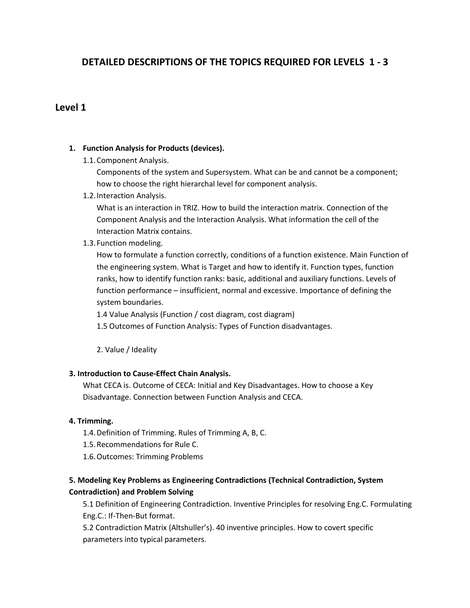# **DETAILED DESCRIPTIONS OF THE TOPICS REQUIRED FOR LEVELS 1 - 3**

## **Level 1**

## **1. Function Analysis for Products (devices).**

1.1.Component Analysis.

Components of the system and Supersystem. What can be and cannot be a component; how to choose the right hierarchal level for component analysis.

1.2.Interaction Analysis.

What is an interaction in TRIZ. How to build the interaction matrix. Connection of the Component Analysis and the Interaction Analysis. What information the cell of the Interaction Matrix contains.

1.3.Function modeling.

How to formulate a function correctly, conditions of a function existence. Main Function of the engineering system. What is Target and how to identify it. Function types, function ranks, how to identify function ranks: basic, additional and auxiliary functions. Levels of function performance – insufficient, normal and excessive. Importance of defining the system boundaries.

1.4 Value Analysis (Function / cost diagram, cost diagram)

1.5 Outcomes of Function Analysis: Types of Function disadvantages.

2. Value / Ideality

### **3. Introduction to Cause-Effect Chain Analysis.**

What CECA is. Outcome of CECA: Initial and Key Disadvantages. How to choose a Key Disadvantage. Connection between Function Analysis and CECA.

### **4. Trimming.**

- 1.4.Definition of Trimming. Rules of Trimming A, B, C.
- 1.5.Recommendations for Rule C.
- 1.6.Outcomes: Trimming Problems

# **5. Modeling Key Problems as Engineering Contradictions (Technical Contradiction, System Contradiction) and Problem Solving**

5.1 Definition of Engineering Contradiction. Inventive Principles for resolving Eng.C. Formulating Eng.C.: If-Then-But format.

5.2 Contradiction Matrix (Altshuller's). 40 inventive principles. How to covert specific parameters into typical parameters.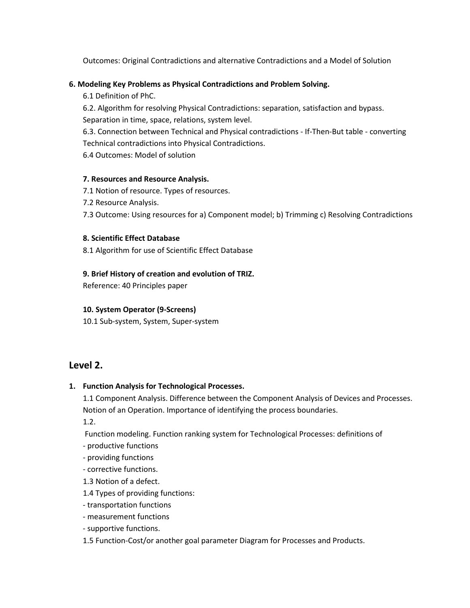Outcomes: Original Contradictions and alternative Contradictions and a Model of Solution

## **6. Modeling Key Problems as Physical Contradictions and Problem Solving.**

6.1 Definition of PhC.

6.2. Algorithm for resolving Physical Contradictions: separation, satisfaction and bypass. Separation in time, space, relations, system level.

6.3. Connection between Technical and Physical contradictions - If-Then-But table - converting Technical contradictions into Physical Contradictions.

6.4 Outcomes: Model of solution

## **7. Resources and Resource Analysis.**

- 7.1 Notion of resource. Types of resources.
- 7.2 Resource Analysis.

7.3 Outcome: Using resources for a) Component model; b) Trimming c) Resolving Contradictions

### **8. Scientific Effect Database**

8.1 Algorithm for use of Scientific Effect Database

## **9. Brief History of creation and evolution of TRIZ.**

Reference: 40 Principles paper

## **10. System Operator (9-Screens)**

10.1 Sub-system, System, Super-system

# **Level 2.**

## **1. Function Analysis for Technological Processes.**

1.1 Component Analysis. Difference between the Component Analysis of Devices and Processes. Notion of an Operation. Importance of identifying the process boundaries.

1.2.

Function modeling. Function ranking system for Technological Processes: definitions of

- productive functions

- providing functions

- corrective functions.

1.3 Notion of a defect.

1.4 Types of providing functions:

- transportation functions

- measurement functions

- supportive functions.

1.5 Function-Cost/or another goal parameter Diagram for Processes and Products.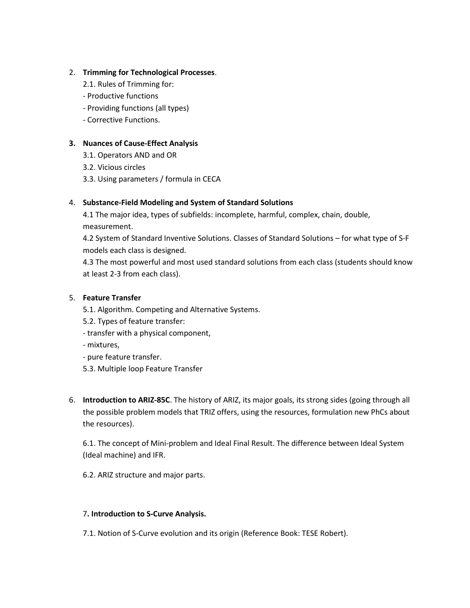## 2. **Trimming for Technological Processes**.

- 2.1. Rules of Trimming for:
- Productive functions
- Providing functions (all types)
- Corrective Functions.

### **3. Nuances of Cause-Effect Analysis**

- 3.1. Operators AND and OR
- 3.2. Vicious circles
- 3.3. Using parameters / formula in CECA

### 4. **Substance-Field Modeling and System of Standard Solutions**

4.1 The major idea, types of subfields: incomplete, harmful, complex, chain, double, measurement.

4.2 System of Standard Inventive Solutions. Classes of Standard Solutions – for what type of S-F models each class is designed.

4.3 The most powerful and most used standard solutions from each class (students should know at least 2-3 from each class).

### 5. **Feature Transfer**

- 5.1. Algorithm. Competing and Alternative Systems.
- 5.2. Types of feature transfer:
- transfer with a physical component,
- mixtures,
- pure feature transfer.
- 5.3. Multiple loop Feature Transfer
- 6. **Introduction to ARIZ-85C**. The history of ARIZ, its major goals, its strong sides (going through all the possible problem models that TRIZ offers, using the resources, formulation new PhCs about the resources).

6.1. The concept of Mini-problem and Ideal Final Result. The difference between Ideal System (Ideal machine) and IFR.

6.2. ARIZ structure and major parts.

### 7**. Introduction to S-Curve Analysis.**

7.1. Notion of S-Curve evolution and its origin (Reference Book: TESE Robert).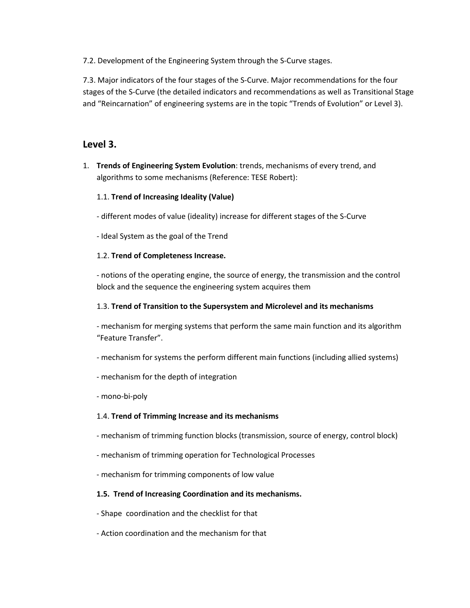7.2. Development of the Engineering System through the S-Curve stages.

7.3. Major indicators of the four stages of the S-Curve. Major recommendations for the four stages of the S-Curve (the detailed indicators and recommendations as well as Transitional Stage and "Reincarnation" of engineering systems are in the topic "Trends of Evolution" or Level 3).

# **Level 3.**

1. **Trends of Engineering System Evolution**: trends, mechanisms of every trend, and algorithms to some mechanisms (Reference: TESE Robert):

## 1.1. **Trend of Increasing Ideality (Value)**

- different modes of value (ideality) increase for different stages of the S-Curve
- Ideal System as the goal of the Trend

## 1.2. **Trend of Completeness Increase.**

- notions of the operating engine, the source of energy, the transmission and the control block and the sequence the engineering system acquires them

### 1.3. **Trend of Transition to the Supersystem and Microlevel and its mechanisms**

- mechanism for merging systems that perform the same main function and its algorithm "Feature Transfer".

- mechanism for systems the perform different main functions (including allied systems)
- mechanism for the depth of integration
- mono-bi-poly

### 1.4. **Trend of Trimming Increase and its mechanisms**

- mechanism of trimming function blocks (transmission, source of energy, control block)
- mechanism of trimming operation for Technological Processes
- mechanism for trimming components of low value

### **1.5. Trend of Increasing Coordination and its mechanisms.**

- Shape coordination and the checklist for that
- Action coordination and the mechanism for that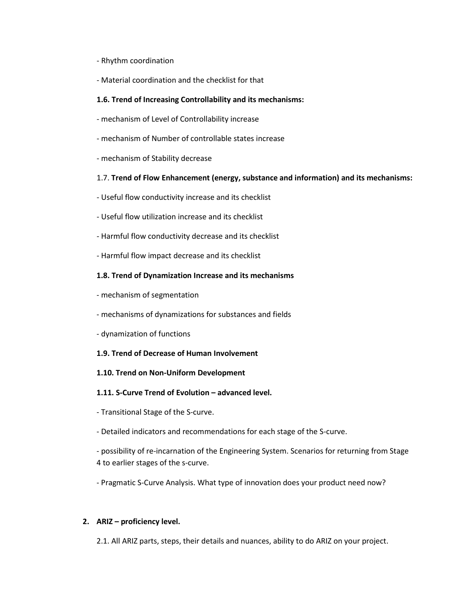- Rhythm coordination
- Material coordination and the checklist for that

### **1.6. Trend of Increasing Controllability and its mechanisms:**

- mechanism of Level of Controllability increase
- mechanism of Number of controllable states increase
- mechanism of Stability decrease

#### 1.7. **Trend of Flow Enhancement (energy, substance and information) and its mechanisms:**

- Useful flow conductivity increase and its checklist
- Useful flow utilization increase and its checklist
- Harmful flow conductivity decrease and its checklist
- Harmful flow impact decrease and its checklist

### **1.8. Trend of Dynamization Increase and its mechanisms**

- mechanism of segmentation
- mechanisms of dynamizations for substances and fields
- dynamization of functions

#### **1.9. Trend of Decrease of Human Involvement**

#### **1.10. Trend on Non-Uniform Development**

#### **1.11. S-Curve Trend of Evolution – advanced level.**

- Transitional Stage of the S-curve.

- Detailed indicators and recommendations for each stage of the S-curve.

- possibility of re-incarnation of the Engineering System. Scenarios for returning from Stage 4 to earlier stages of the s-curve.

- Pragmatic S-Curve Analysis. What type of innovation does your product need now?

### **2. ARIZ – proficiency level.**

2.1. All ARIZ parts, steps, their details and nuances, ability to do ARIZ on your project.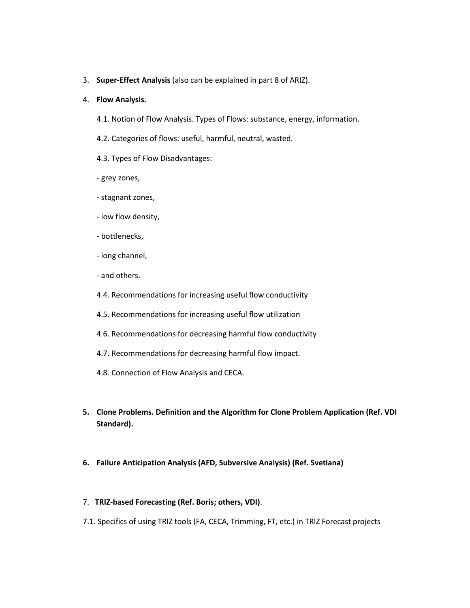3. **Super-Effect Analysis** (also can be explained in part 8 of ARIZ).

#### 4. **Flow Analysis.**

- 4.1. Notion of Flow Analysis. Types of Flows: substance, energy, information.
- 4.2. Categories of flows: useful, harmful, neutral, wasted.
- 4.3. Types of Flow Disadvantages:
- grey zones,
- stagnant zones,
- low flow density,
- bottlenecks,
- long channel,
- and others.
- 4.4. Recommendations for increasing useful flow conductivity
- 4.5. Recommendations for increasing useful flow utilization
- 4.6. Recommendations for decreasing harmful flow conductivity
- 4.7. Recommendations for decreasing harmful flow impact.
- 4.8. Connection of Flow Analysis and CECA.
- **5. Clone Problems. Definition and the Algorithm for Clone Problem Application (Ref. VDI Standard).**
- **6. Failure Anticipation Analysis (AFD, Subversive Analysis) (Ref. Svetlana)**
- 7. **TRIZ-based Forecasting (Ref. Boris; others, VDI)**.
- 7.1. Specifics of using TRIZ tools (FA, CECA, Trimming, FT, etc.) in TRIZ Forecast projects